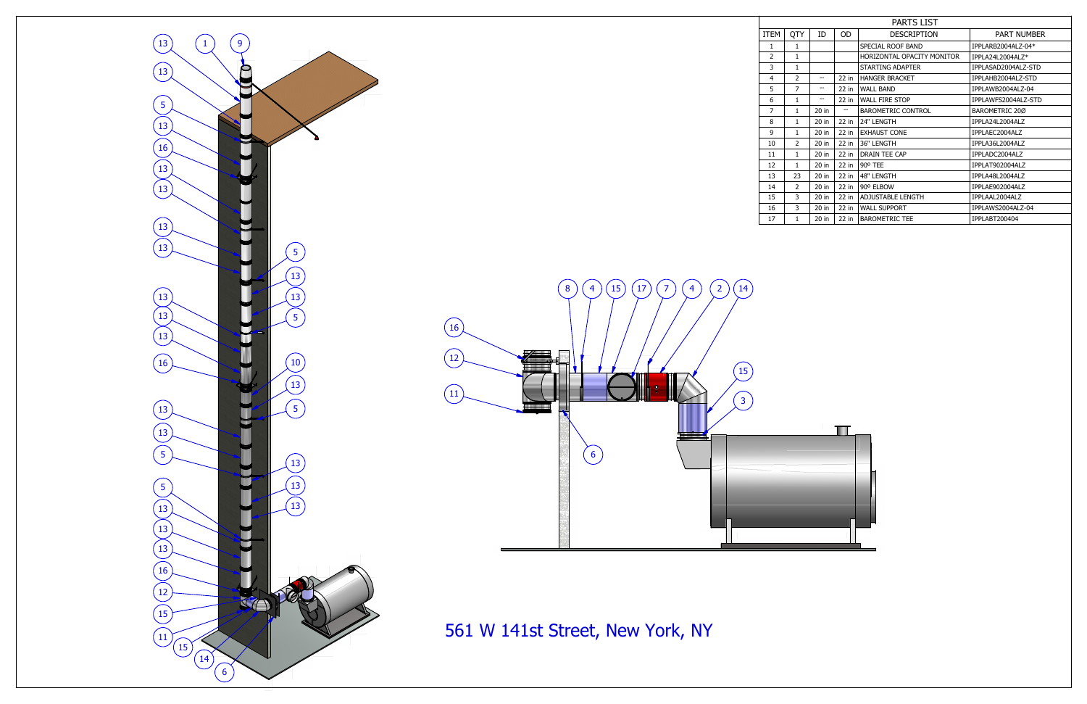| <b>PARTS LIST</b> |                |         |         |                            |                     |  |  |  |  |  |  |
|-------------------|----------------|---------|---------|----------------------------|---------------------|--|--|--|--|--|--|
| <b>EM</b>         | 0TY            | ID      | OD.     | <b>DESCRIPTION</b>         | <b>PART NUMBER</b>  |  |  |  |  |  |  |
| $\mathbf{1}$      | 1              |         |         | SPECIAL ROOF BAND          | IPPLARB2004ALZ-04*  |  |  |  |  |  |  |
| $\overline{2}$    | $\mathbf{1}$   |         |         | HORIZONTAL OPACITY MONITOR | IPPLA24L2004ALZ*    |  |  |  |  |  |  |
| 3                 | 1              |         |         | STARTING ADAPTER           | IPPLASAD2004ALZ-STD |  |  |  |  |  |  |
| 4                 | $\overline{2}$ |         | $22$ in | <b>HANGER BRACKET</b>      | IPPLAHB2004ALZ-STD  |  |  |  |  |  |  |
| 5                 | 7              | --      | $22$ in | <b>WALL BAND</b>           | IPPLAWB2004ALZ-04   |  |  |  |  |  |  |
| 6                 | 1              | --      | $22$ in | <b>WALL FIRE STOP</b>      | IPPLAWFS2004ALZ-STD |  |  |  |  |  |  |
| $\overline{7}$    | 1              | 20 in   |         | <b>BAROMETRIC CONTROL</b>  | BAROMETRIC 200      |  |  |  |  |  |  |
| 8                 | 1              | 20 in   | $22$ in | 24" LENGTH                 | IPPLA24L2004ALZ     |  |  |  |  |  |  |
| 9                 | $\mathbf{1}$   | 20 in   | $22$ in | <b>EXHAUST CONE</b>        | IPPLAEC2004ALZ      |  |  |  |  |  |  |
| 10                | $\mathcal{P}$  | 20 in   | $22$ in | 36" LENGTH                 | IPPLA36L2004ALZ     |  |  |  |  |  |  |
| 11                | $\mathbf{1}$   | 20 in   | $22$ in | DRAIN TEE CAP              | IPPLADC2004ALZ      |  |  |  |  |  |  |
| 12                | $\mathbf{1}$   | 20 in   | $22$ in | 90° TEE                    | IPPLAT902004ALZ     |  |  |  |  |  |  |
| 13                | 23             | $20$ in | $22$ in | 48" LENGTH                 | IPPLA48L2004ALZ     |  |  |  |  |  |  |
| 14                | 2              | 20 in   | $22$ in | 90° ELBOW                  | IPPLAE902004ALZ     |  |  |  |  |  |  |
| 15                | 3              | 20 in   | $22$ in | ADJUSTABLE LENGTH          | IPPLAAL2004ALZ      |  |  |  |  |  |  |
| 16                | 3              | 20 in   | $22$ in | <b>WALL SUPPORT</b>        | IPPLAWS2004ALZ-04   |  |  |  |  |  |  |
| 17                | 1              | 20 in   | $22$ in | <b>BAROMETRIC TEE</b>      | IPPLABT200404       |  |  |  |  |  |  |